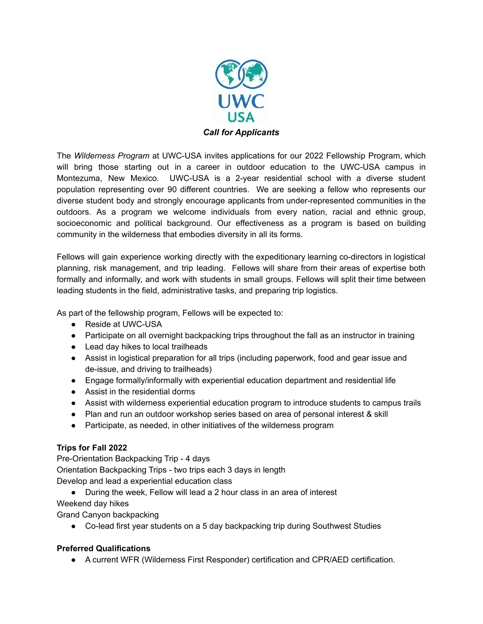

The *Wilderness Program* at UWC-USA invites applications for our 2022 Fellowship Program, which will bring those starting out in a career in outdoor education to the UWC-USA campus in Montezuma, New Mexico. UWC-USA is a 2-year residential school with a diverse student population representing over 90 different countries. We are seeking a fellow who represents our diverse student body and strongly encourage applicants from under-represented communities in the outdoors. As a program we welcome individuals from every nation, racial and ethnic group, socioeconomic and political background. Our effectiveness as a program is based on building community in the wilderness that embodies diversity in all its forms.

Fellows will gain experience working directly with the expeditionary learning co-directors in logistical planning, risk management, and trip leading. Fellows will share from their areas of expertise both formally and informally, and work with students in small groups. Fellows will split their time between leading students in the field, administrative tasks, and preparing trip logistics.

As part of the fellowship program, Fellows will be expected to:

- Reside at UWC-USA
- Participate on all overnight backpacking trips throughout the fall as an instructor in training
- Lead day hikes to local trailheads
- Assist in logistical preparation for all trips (including paperwork, food and gear issue and de-issue, and driving to trailheads)
- Engage formally/informally with experiential education department and residential life
- Assist in the residential dorms
- Assist with wilderness experiential education program to introduce students to campus trails
- Plan and run an outdoor workshop series based on area of personal interest & skill
- Participate, as needed, in other initiatives of the wilderness program

## **Trips for Fall 2022**

Pre-Orientation Backpacking Trip - 4 days Orientation Backpacking Trips - two trips each 3 days in length Develop and lead a experiential education class

- During the week, Fellow will lead a 2 hour class in an area of interest
- Weekend day hikes

Grand Canyon backpacking

● Co-lead first year students on a 5 day backpacking trip during Southwest Studies

## **Preferred Qualifications**

● A current WFR (Wilderness First Responder) certification and CPR/AED certification.